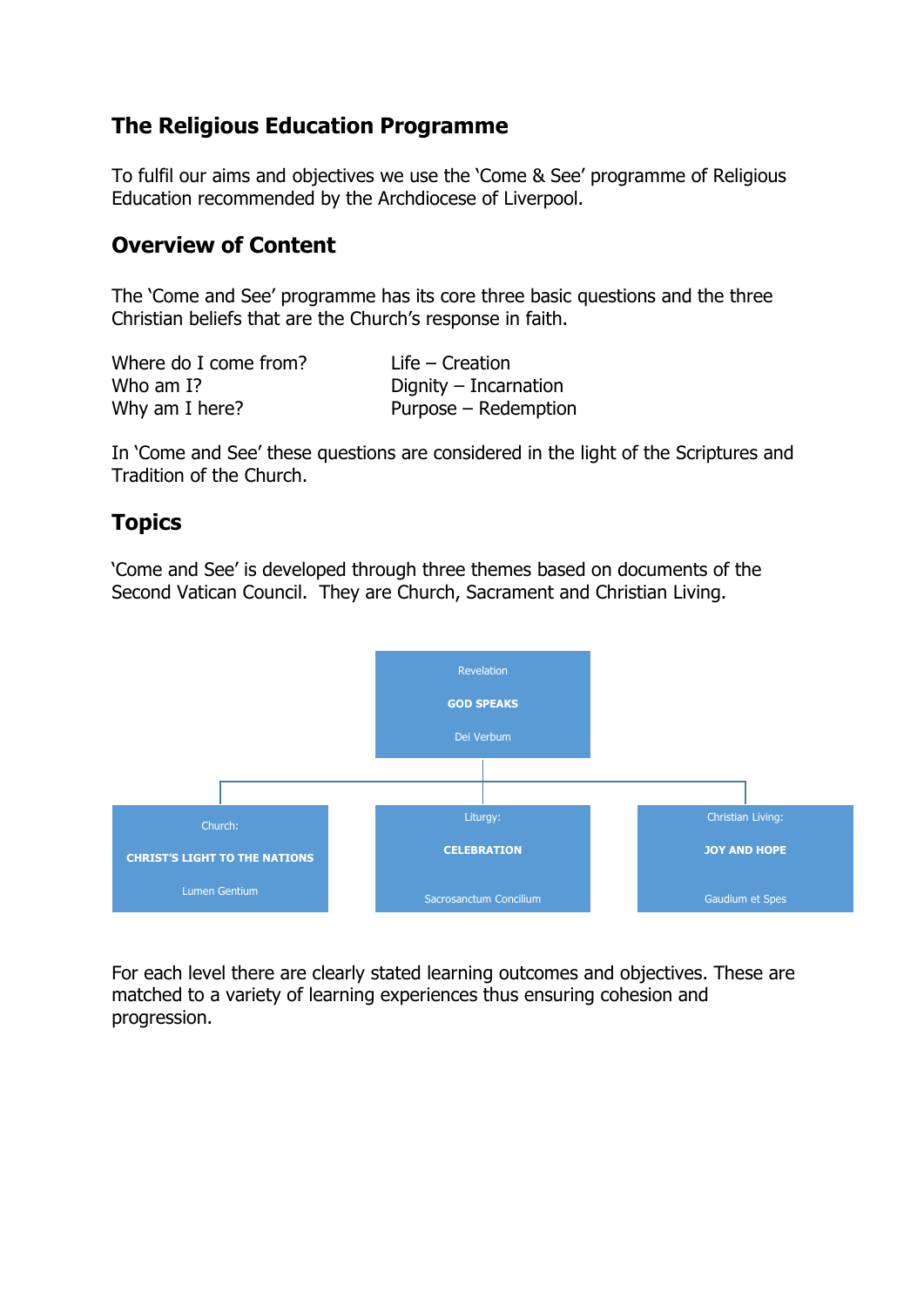### **The Religious Education Programme**

To fulfil our aims and objectives we use the 'Come & See' programme of Religious Education recommended by the Archdiocese of Liverpool.

## **Overview of Content**

The 'Come and See' programme has its core three basic questions and the three Christian beliefs that are the Church's response in faith.

| Where do I come from? | $Life - Creation$       |
|-----------------------|-------------------------|
| Who am I?             | Dignity $-$ Incarnation |
| Why am I here?        | Purpose - Redemption    |

In 'Come and See' these questions are considered in the light of the Scriptures and Tradition of the Church.

## **Topics**

'Come and See' is developed through three themes based on documents of the Second Vatican Council. They are Church, Sacrament and Christian Living.



For each level there are clearly stated learning outcomes and objectives. These are matched to a variety of learning experiences thus ensuring cohesion and progression.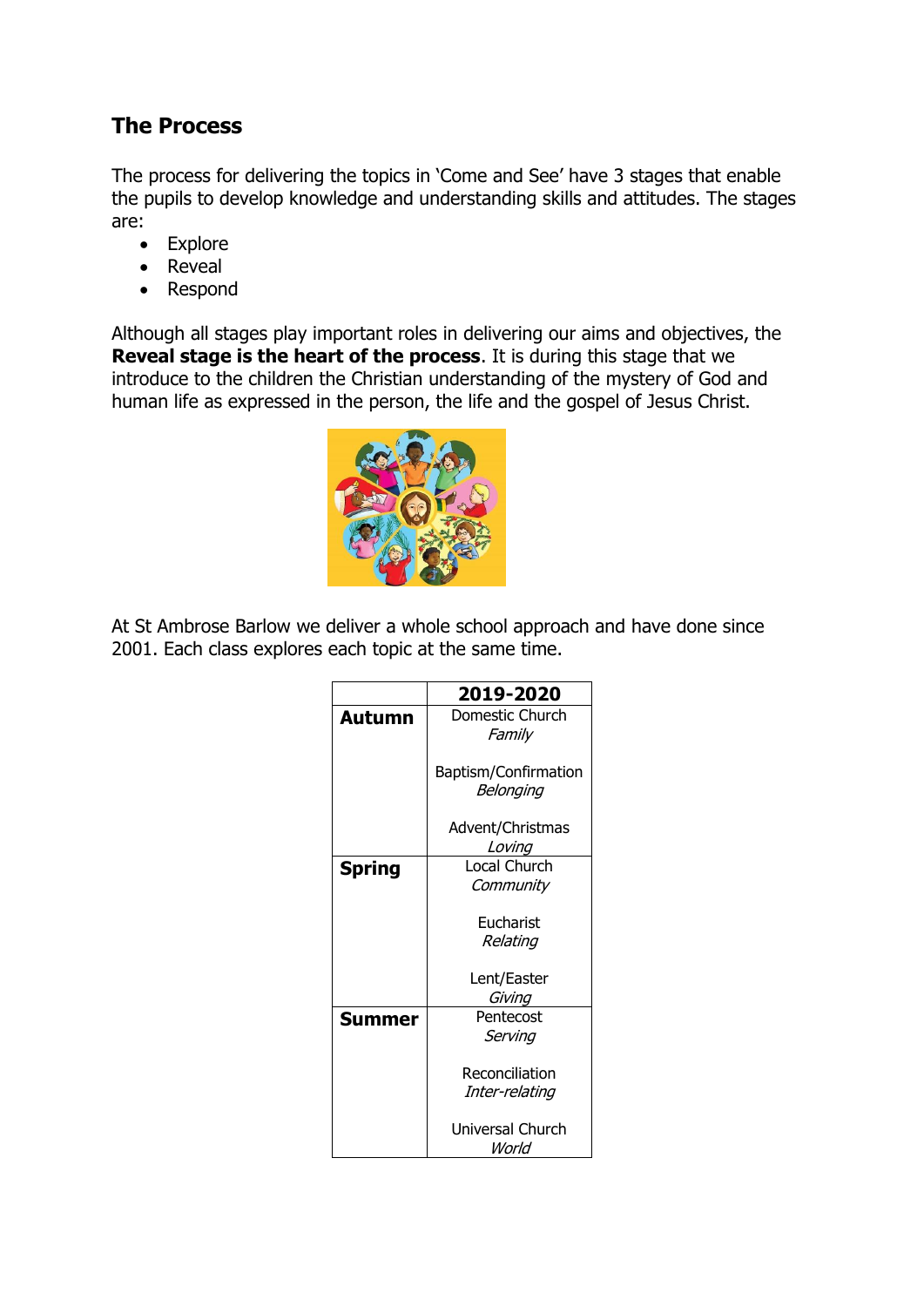## **The Process**

The process for delivering the topics in 'Come and See' have 3 stages that enable the pupils to develop knowledge and understanding skills and attitudes. The stages are:

- Explore
- Reveal
- Respond

Although all stages play important roles in delivering our aims and objectives, the **Reveal stage is the heart of the process**. It is during this stage that we introduce to the children the Christian understanding of the mystery of God and human life as expressed in the person, the life and the gospel of Jesus Christ.



At St Ambrose Barlow we deliver a whole school approach and have done since 2001. Each class explores each topic at the same time.

|               | 2019-2020                 |
|---------------|---------------------------|
| <b>Autumn</b> | Domestic Church           |
|               | Family                    |
|               | Baptism/Confirmation      |
|               | Belonging                 |
|               | Advent/Christmas          |
|               | Loving                    |
| Spring        | <b>Local Church</b>       |
|               | Community                 |
|               | Eucharist                 |
|               | Relating                  |
|               | Lent/Easter               |
|               | Giving                    |
| Summer        | Pentecost                 |
|               | Serving                   |
|               | Reconciliation            |
|               | Inter-relating            |
|               | Universal Church<br>World |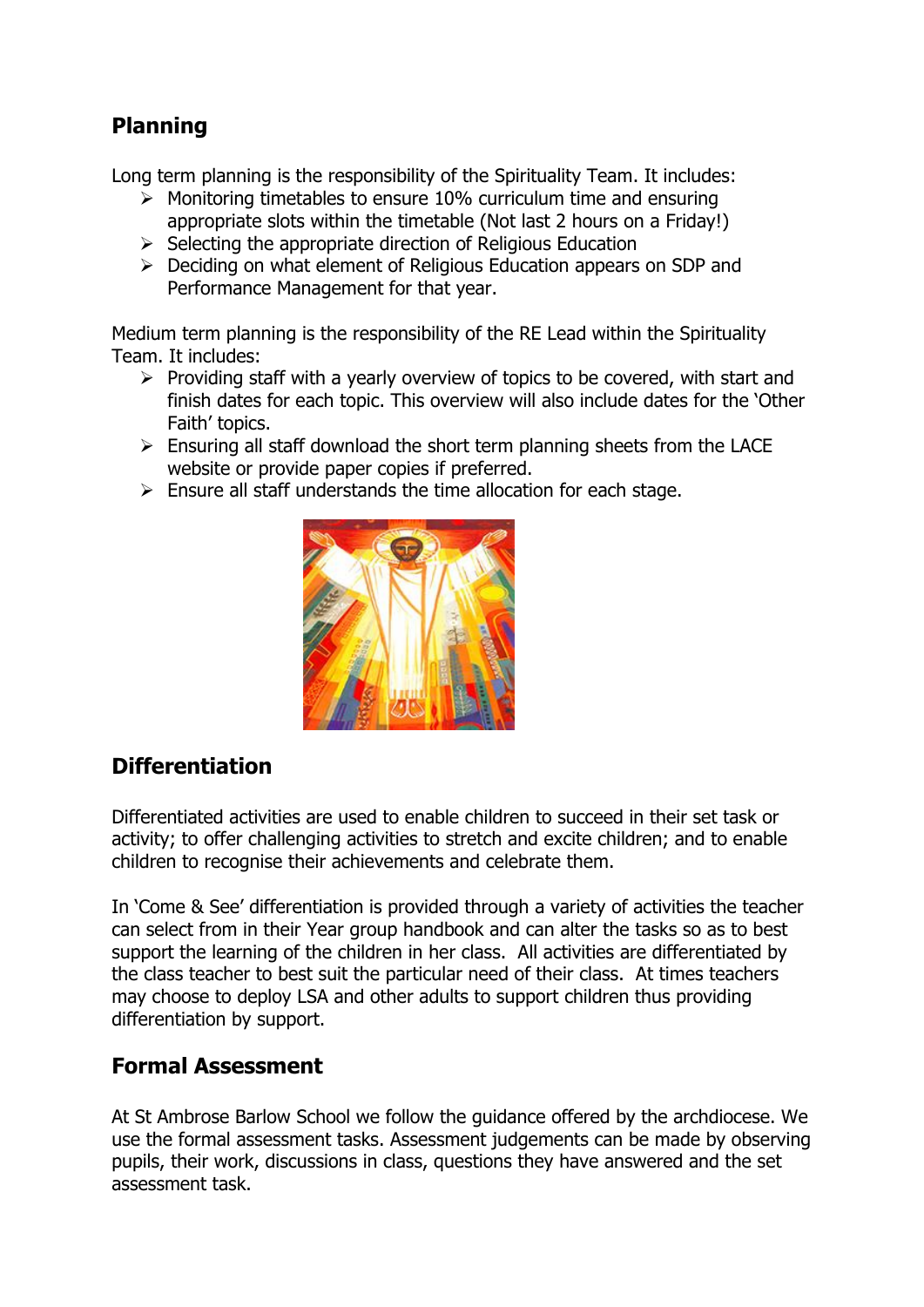# **Planning**

Long term planning is the responsibility of the Spirituality Team. It includes:

- $\triangleright$  Monitoring timetables to ensure 10% curriculum time and ensuring appropriate slots within the timetable (Not last 2 hours on a Friday!)
- $\triangleright$  Selecting the appropriate direction of Religious Education
- $\triangleright$  Deciding on what element of Religious Education appears on SDP and Performance Management for that year.

Medium term planning is the responsibility of the RE Lead within the Spirituality Team. It includes:

- $\triangleright$  Providing staff with a yearly overview of topics to be covered, with start and finish dates for each topic. This overview will also include dates for the 'Other Faith' topics.
- $\triangleright$  Ensuring all staff download the short term planning sheets from the LACE website or provide paper copies if preferred.
- $\triangleright$  Ensure all staff understands the time allocation for each stage.



### **Differentiation**

Differentiated activities are used to enable children to succeed in their set task or activity; to offer challenging activities to stretch and excite children; and to enable children to recognise their achievements and celebrate them.

In 'Come & See' differentiation is provided through a variety of activities the teacher can select from in their Year group handbook and can alter the tasks so as to best support the learning of the children in her class. All activities are differentiated by the class teacher to best suit the particular need of their class. At times teachers may choose to deploy LSA and other adults to support children thus providing differentiation by support.

### **Formal Assessment**

At St Ambrose Barlow School we follow the guidance offered by the archdiocese. We use the formal assessment tasks. Assessment judgements can be made by observing pupils, their work, discussions in class, questions they have answered and the set assessment task.